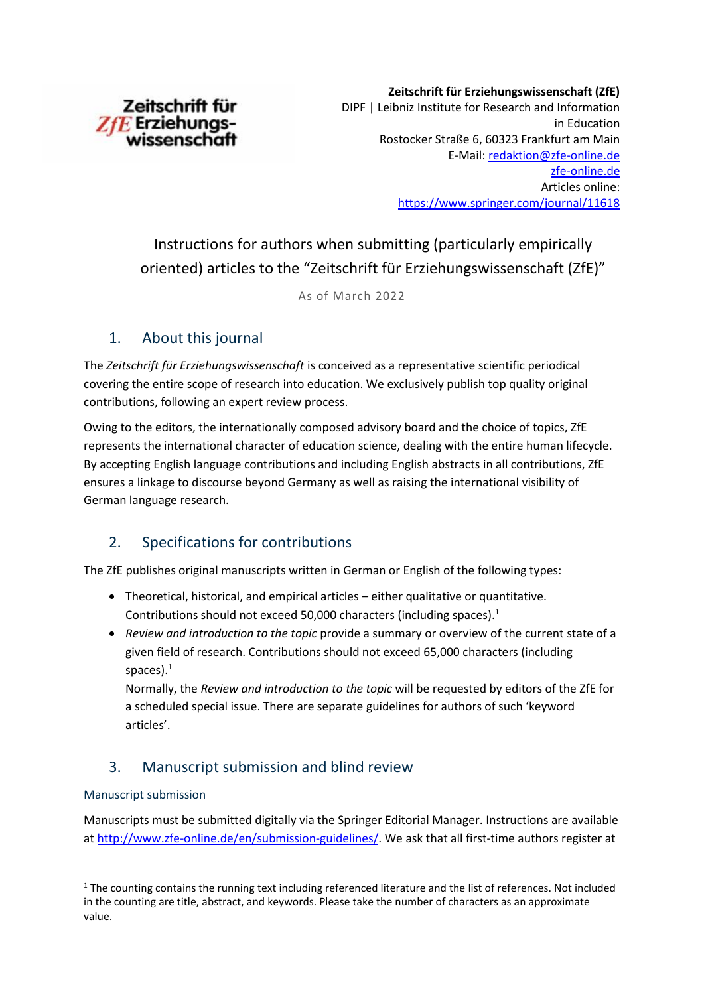

**Zeitschrift für Erziehungswissenschaft (ZfE)**  DIPF | Leibniz Institute for Research and Information in Education Rostocker Straße 6, 60323 Frankfurt am Main E-Mail: [redaktion@zfe-online.de](mailto:redaktion@zfe-online.de)  [zfe-online.de](https://www.springer.com/journal/11618) Articles online: <https://www.springer.com/journal/11618>

# Instructions for authors when submitting (particularly empirically oriented) articles to the "Zeitschrift für Erziehungswissenschaft (ZfE)"

As of March 2022

## 1. About this journal

The Zeitschrift für Erziehungswissenschaft is conceived as a representative scientific periodical covering the entire scope of research into education. We exclusively publish top quality original contributions, following an expert review process.

Owing to the editors, the internationally composed advisory board and the choice of topics, ZfE represents the international character of education science, dealing with the entire human lifecycle. By accepting English language contributions and including English abstracts in all contributions, ZfE ensures a linkage to discourse beyond Germany as well as raising the international visibility of German language research.

# 2. Specifications for contributions

The ZfE publishes original manuscripts written in German or English of the following types:

- Theoretical, historical, and empirical articles either qualitative or quantitative. Contributions should not exceed 50,000 characters (including spaces).<sup>[1](#page-0-0)</sup>
- *Review and introduction to the topic* provide a summary or overview of the current state of a given field of research. Contributions should not exceed 65,000 characters (including spaces)[.](#page-0-1)<sup>1</sup>

Normally, the *Review and introduction to the topic* will be requested by editors of the ZfE for a scheduled special issue. There are separate guidelines for authors of such 'keyword articles'.

# 3. Manuscript submission and blind review

### Manuscript submission

**.** 

Manuscripts must be submitted digitally via the Springer Editorial Manager. Instructions are available at<http://www.zfe-online.de/>en/submission-guidelines/. We ask that all first-time authors register at

<span id="page-0-1"></span><span id="page-0-0"></span> $1$  The counting contains the running text including referenced literature and the list of references. Not included in the counting are title, abstract, and keywords. Please take the number of characters as an approximate value.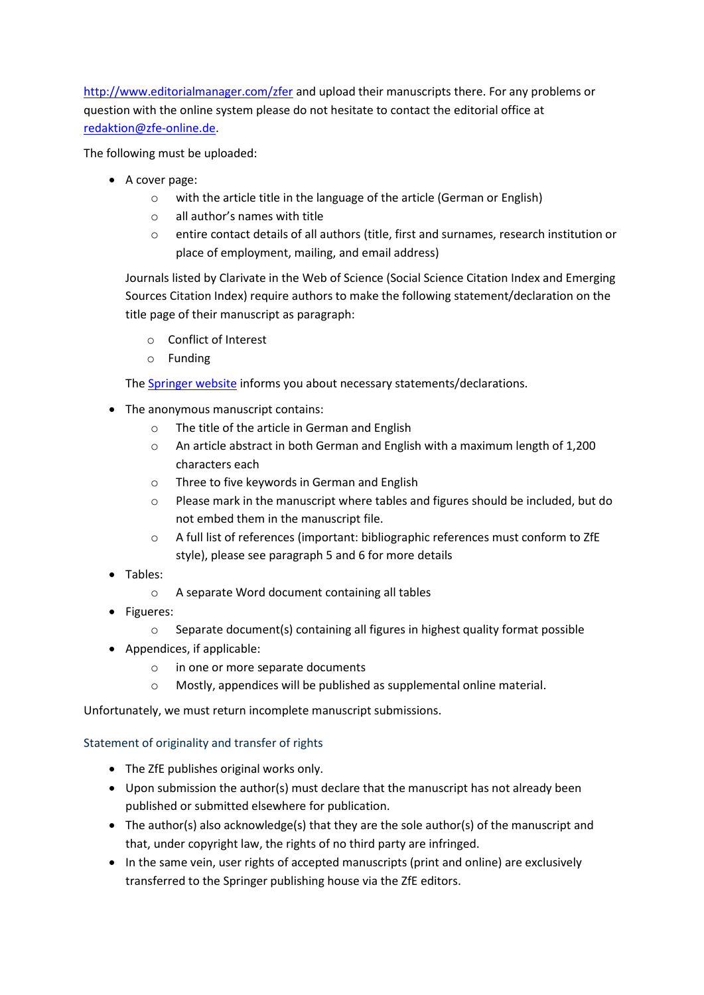<http://www.editorialmanager.com/zfer>and upload their manuscripts there. For any problems or question with the online system please do not hesitate to contact the editorial office at [redaktion@zfe-online.de.](mailto:redaktion@zfe-online.de)

The following must be uploaded:

- A cover page:
	- o with the article title in the language of the article (German or English)
	- o all author's names with title
	- o entire contact details of all authors (title, first and surnames, research institution or place of employment, mailing, and email address)

Journals listed by Clarivate in the Web of Science (Social Science Citation Index and Emerging Sources Citation Index) require authors to make the following statement/declaration on the title page of their manuscript as paragraph:

- o Conflict of Interest
- o Funding

The [Springer website i](https://www.springer.com/journal/11618/submission-guidelines#Instructions%20for%20Authors_Conflicts%20of%20Interest%20/%20Competing%20Interests)nforms you about necessary statements/declarations.

- The anonymous manuscript contains:
	- o The title of the article in German and English
	- o An article abstract in both German and English with a maximum length of 1,200 characters each
	- o Three to five keywords in German and English
	- $\circ$  Please mark in the manuscript where tables and figures should be included, but do not embed them in the manuscript file.
	- o A full list of references (important: bibliographic references must conform to ZfE style), please see paragraph 5 and 6 for more details
- Tables:
	- o A separate Word document containing all tables
- Figueres:
	- o Separate document(s) containing all figures in highest quality format possible
- Appendices, if applicable:
	- o in one or more separate documents
	- o Mostly, appendices will be published as supplemental online material.

Unfortunately, we must return incomplete manuscript submissions.

### Statement of originality and transfer of rights

- The ZfE publishes original works only.
- Upon submission the author(s) must declare that the manuscript has not already been published or submitted elsewhere for publication.
- The author(s) also acknowledge(s) that they are the sole author(s) of the manuscript and that, under copyright law, the rights of no third party are infringed.
- In the same vein, user rights of accepted manuscripts (print and online) are exclusively transferred to the Springer publishing house via the ZfE editors.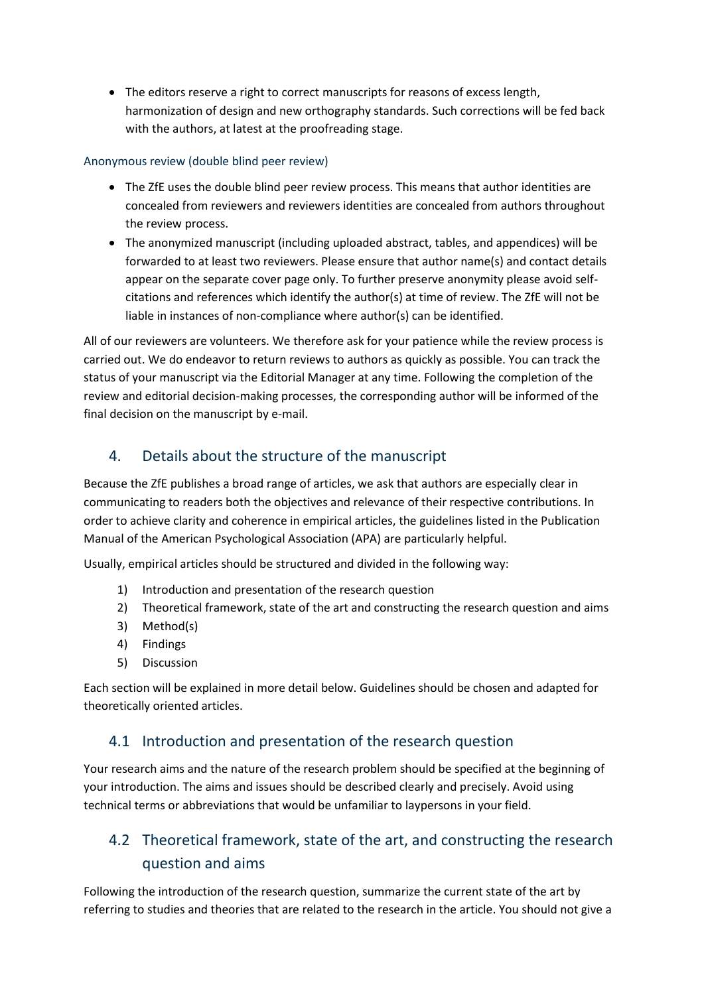• The editors reserve a right to correct manuscripts for reasons of excess length, harmonization of design and new orthography standards. Such corrections will be fed back with the authors, at latest at the proofreading stage.

### Anonymous review (double blind peer review)

- The ZfE uses the double blind peer review process. This means that author identities are concealed from reviewers and reviewers identities are concealed from authors throughout the review process.
- The anonymized manuscript (including uploaded abstract, tables, and appendices) will be forwarded to at least two reviewers. Please ensure that author name(s) and contact details appear on the separate cover page only. To further preserve anonymity please avoid selfcitations and references which identify the author(s) at time of review. The ZfE will not be liable in instances of non-compliance where author(s) can be identified.

All of our reviewers are volunteers. We therefore ask for your patience while the review process is carried out. We do endeavor to return reviews to authors as quickly as possible. You can track the status of your manuscript via the Editorial Manager at any time. Following the completion of the review and editorial decision-making processes, the corresponding author will be informed of the final decision on the manuscript by e-mail.

# 4. Details about the structure of the manuscript

Because the ZfE publishes a broad range of articles, we ask that authors are especially clear in communicating to readers both the objectives and relevance of their respective contributions. In order to achieve clarity and coherence in empirical articles, the guidelines listed in the Publication Manual of the American Psychological Association (APA) are particularly helpful.

Usually, empirical articles should be structured and divided in the following way:

- 1) Introduction and presentation of the research question
- 2) Theoretical framework, state of the art and constructing the research question and aims
- 3) Method(s)
- 4) Findings
- 5) Discussion

Each section will be explained in more detail below. Guidelines should be chosen and adapted for theoretically oriented articles.

## 4.1 Introduction and presentation of the research question

Your research aims and the nature of the research problem should be specified at the beginning of your introduction. The aims and issues should be described clearly and precisely. Avoid using technical terms or abbreviations that would be unfamiliar to laypersons in your field.

# 4.2 Theoretical framework, state of the art, and constructing the research question and aims

Following the introduction of the research question, summarize the current state of the art by referring to studies and theories that are related to the research in the article. You should not give a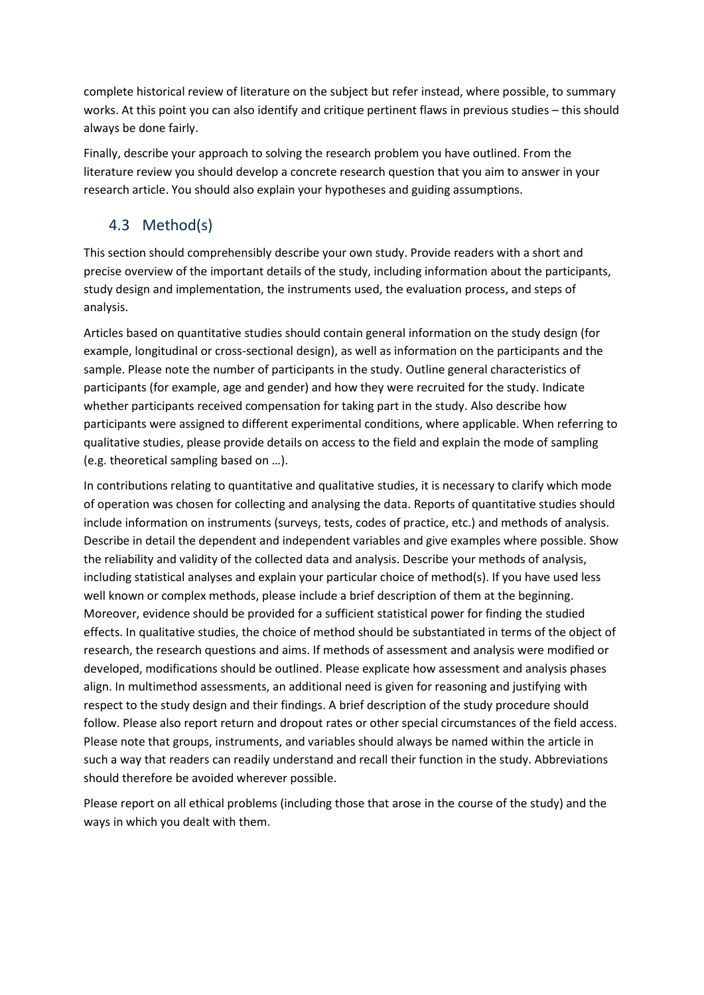complete historical review of literature on the subject but refer instead, where possible, to summary works. At this point you can also identify and critique pertinent flaws in previous studies – this should always be done fairly.

Finally, describe your approach to solving the research problem you have outlined. From the literature review you should develop a concrete research question that you aim to answer in your research article. You should also explain your hypotheses and guiding assumptions.

# 4.3 Method(s)

This section should comprehensibly describe your own study. Provide readers with a short and precise overview of the important details of the study, including information about the participants, study design and implementation, the instruments used, the evaluation process, and steps of analysis.

Articles based on quantitative studies should contain general information on the study design (for example, longitudinal or cross-sectional design), as well as information on the participants and the sample. Please note the number of participants in the study. Outline general characteristics of participants (for example, age and gender) and how they were recruited for the study. Indicate whether participants received compensation for taking part in the study. Also describe how participants were assigned to different experimental conditions, where applicable. When referring to qualitative studies, please provide details on access to the field and explain the mode of sampling (e.g. theoretical sampling based on …).

In contributions relating to quantitative and qualitative studies, it is necessary to clarify which mode of operation was chosen for collecting and analysing the data. Reports of quantitative studies should include information on instruments (surveys, tests, codes of practice, etc.) and methods of analysis. Describe in detail the dependent and independent variables and give examples where possible. Show the reliability and validity of the collected data and analysis. Describe your methods of analysis, including statistical analyses and explain your particular choice of method(s). If you have used less well known or complex methods, please include a brief description of them at the beginning. Moreover, evidence should be provided for a sufficient statistical power for finding the studied effects. In qualitative studies, the choice of method should be substantiated in terms of the object of research, the research questions and aims. If methods of assessment and analysis were modified or developed, modifications should be outlined. Please explicate how assessment and analysis phases align. In multimethod assessments, an additional need is given for reasoning and justifying with respect to the study design and their findings. A brief description of the study procedure should follow. Please also report return and dropout rates or other special circumstances of the field access. Please note that groups, instruments, and variables should always be named within the article in such a way that readers can readily understand and recall their function in the study. Abbreviations should therefore be avoided wherever possible.

Please report on all ethical problems (including those that arose in the course of the study) and the ways in which you dealt with them.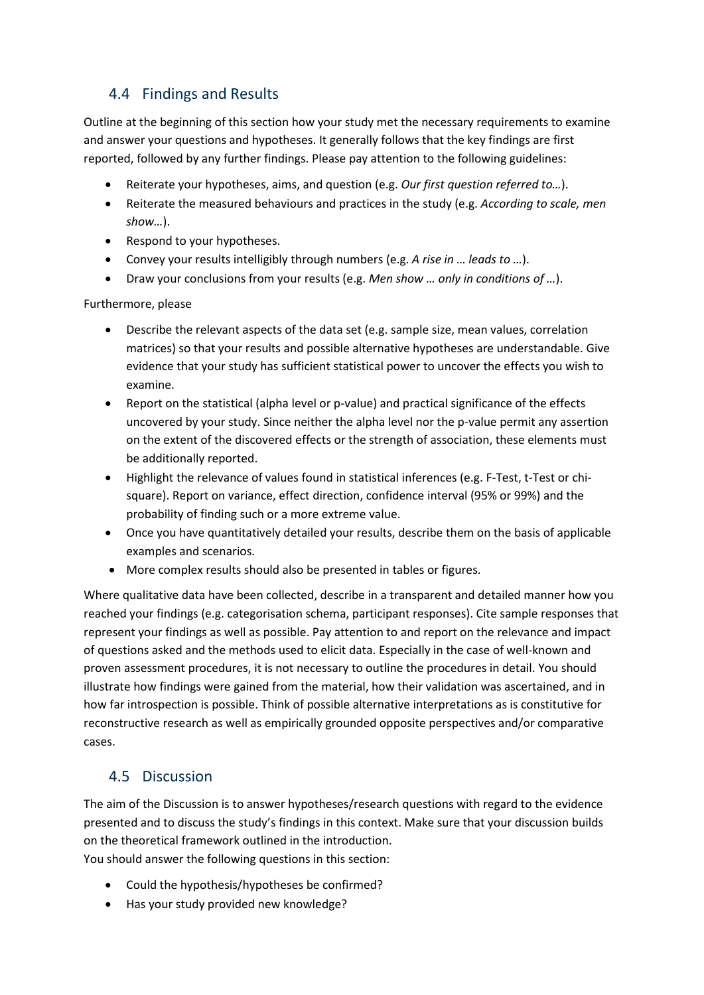## 4.4 Findings and Results

Outline at the beginning of this section how your study met the necessary requirements to examine and answer your questions and hypotheses. It generally follows that the key findings are first reported, followed by any further findings. Please pay attention to the following guidelines:

- Reiterate your hypotheses, aims, and question (e.g. *Our first question referred to…*).
- Reiterate the measured behaviours and practices in the study (e.g. *According to scale, men show…*).
- Respond to your hypotheses.
- Convey your results intelligibly through numbers (e.g. *A rise in … leads to …*).
- Draw your conclusions from your results (e.g. *Men show … only in conditions of …*).

Furthermore, please

- Describe the relevant aspects of the data set (e.g. sample size, mean values, correlation matrices) so that your results and possible alternative hypotheses are understandable. Give evidence that your study has sufficient statistical power to uncover the effects you wish to examine.
- Report on the statistical (alpha level or p-value) and practical significance of the effects uncovered by your study. Since neither the alpha level nor the p-value permit any assertion on the extent of the discovered effects or the strength of association, these elements must be additionally reported.
- Highlight the relevance of values found in statistical inferences (e.g. F-Test, t-Test or chisquare). Report on variance, effect direction, confidence interval (95% or 99%) and the probability of finding such or a more extreme value.
- Once you have quantitatively detailed your results, describe them on the basis of applicable examples and scenarios.
- More complex results should also be presented in tables or figures.

Where qualitative data have been collected, describe in a transparent and detailed manner how you reached your findings (e.g. categorisation schema, participant responses). Cite sample responses that represent your findings as well as possible. Pay attention to and report on the relevance and impact of questions asked and the methods used to elicit data. Especially in the case of well-known and proven assessment procedures, it is not necessary to outline the procedures in detail. You should illustrate how findings were gained from the material, how their validation was ascertained, and in how far introspection is possible. Think of possible alternative interpretations as is constitutive for reconstructive research as well as empirically grounded opposite perspectives and/or comparative cases.

## 4.5 Discussion

The aim of the Discussion is to answer hypotheses/research questions with regard to the evidence presented and to discuss the study's findings in this context. Make sure that your discussion builds on the theoretical framework outlined in the introduction.

You should answer the following questions in this section:

- Could the hypothesis/hypotheses be confirmed?
- Has your study provided new knowledge?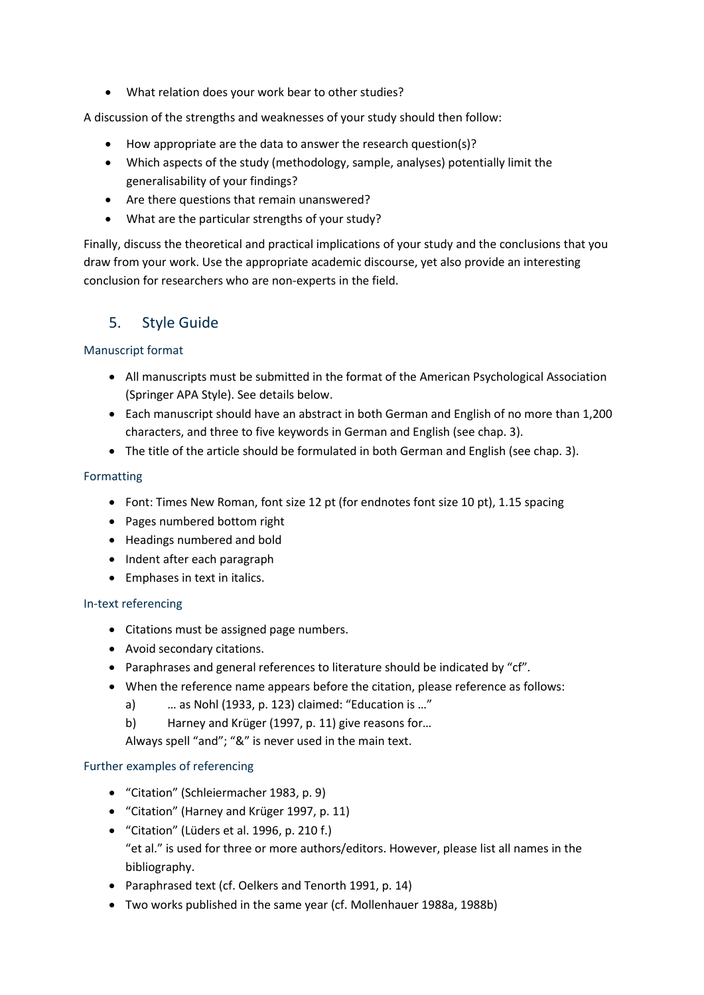What relation does your work bear to other studies?

A discussion of the strengths and weaknesses of your study should then follow:

- How appropriate are the data to answer the research question(s)?
- Which aspects of the study (methodology, sample, analyses) potentially limit the generalisability of your findings?
- Are there questions that remain unanswered?
- What are the particular strengths of your study?

Finally, discuss the theoretical and practical implications of your study and the conclusions that you draw from your work. Use the appropriate academic discourse, yet also provide an interesting conclusion for researchers who are non-experts in the field.

## 5. Style Guide

### Manuscript format

- All manuscripts must be submitted in the format of the American Psychological Association (Springer APA Style). See details below.
- Each manuscript should have an abstract in both German and English of no more than 1,200 characters, and three to five keywords in German and English (see chap. 3).
- The title of the article should be formulated in both German and English (see chap. 3).

#### Formatting

- Font: Times New Roman, font size 12 pt (for endnotes font size 10 pt), 1.15 spacing
- Pages numbered bottom right
- Headings numbered and bold
- Indent after each paragraph
- Emphases in text in italics.

#### In-text referencing

- Citations must be assigned page numbers.
- Avoid secondary citations.
- Paraphrases and general references to literature should be indicated by "cf"*.*
- When the reference name appears before the citation, please reference as follows:
	- a) … as Nohl (1933, p. 123) claimed: "Education is …"
	- b) Harney and Krüger (1997, p. 11) give reasons for…

Always spell "and"; "&" is never used in the main text.

### Further examples of referencing

- "Citation" (Schleiermacher 1983, p. 9)
- "Citation" (Harney and Krüger 1997, p. 11)
- "Citation" (Lüders et al. 1996, p. 210 f.) "et al." is used for three or more authors/editors. However, please list all names in the bibliography.
- Paraphrased text (cf. Oelkers and Tenorth 1991, p. 14)
- Two works published in the same year (cf. Mollenhauer 1988a, 1988b)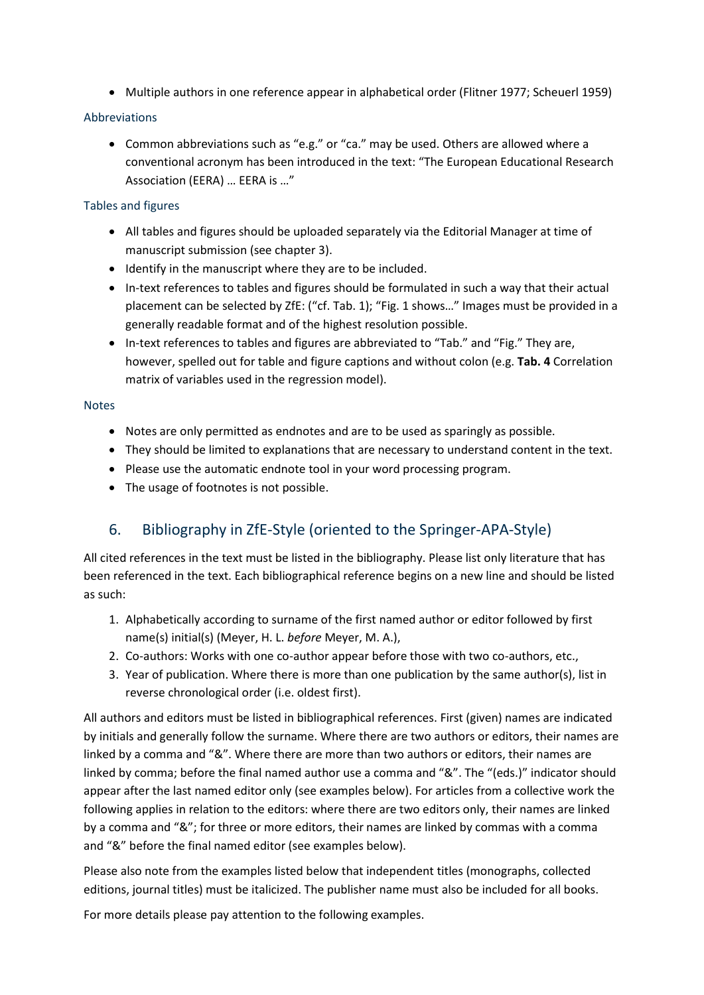Multiple authors in one reference appear in alphabetical order (Flitner 1977; Scheuerl 1959)

### Abbreviations

 Common abbreviations such as "e.g." or "ca." may be used. Others are allowed where a conventional acronym has been introduced in the text: "The European Educational Research Association (EERA) … EERA is …"

## Tables and figures

- All tables and figures should be uploaded separately via the Editorial Manager at time of manuscript submission (see chapter 3).
- Identify in the manuscript where they are to be included.
- In-text references to tables and figures should be formulated in such a way that their actual placement can be selected by ZfE: ("cf. Tab. 1); "Fig. 1 shows…" Images must be provided in a generally readable format and of the highest resolution possible.
- In-text references to tables and figures are abbreviated to "Tab." and "Fig." They are, however, spelled out for table and figure captions and without colon (e.g. **Tab. 4** Correlation matrix of variables used in the regression model).

## **Notes**

- Notes are only permitted as endnotes and are to be used as sparingly as possible.
- They should be limited to explanations that are necessary to understand content in the text.
- Please use the automatic endnote tool in your word processing program.
- The usage of footnotes is not possible.

# 6. Bibliography in ZfE-Style (oriented to the Springer-APA-Style)

All cited references in the text must be listed in the bibliography. Please list only literature that has been referenced in the text. Each bibliographical reference begins on a new line and should be listed as such:

- 1. Alphabetically according to surname of the first named author or editor followed by first name(s) initial(s) (Meyer, H. L. *before* Meyer, M. A.),
- 2. Co-authors: Works with one co-author appear before those with two co-authors, etc.,
- 3. Year of publication. Where there is more than one publication by the same author(s), list in reverse chronological order (i.e. oldest first).

All authors and editors must be listed in bibliographical references. First (given) names are indicated by initials and generally follow the surname. Where there are two authors or editors, their names are linked by a comma and "&". Where there are more than two authors or editors, their names are linked by comma; before the final named author use a comma and "&". The "(eds.)" indicator should appear after the last named editor only (see examples below). For articles from a collective work the following applies in relation to the editors: where there are two editors only, their names are linked by a comma and "&"; for three or more editors, their names are linked by commas with a comma and "&" before the final named editor (see examples below).

Please also note from the examples listed below that independent titles (monographs, collected editions, journal titles) must be italicized. The publisher name must also be included for all books.

For more details please pay attention to the following examples.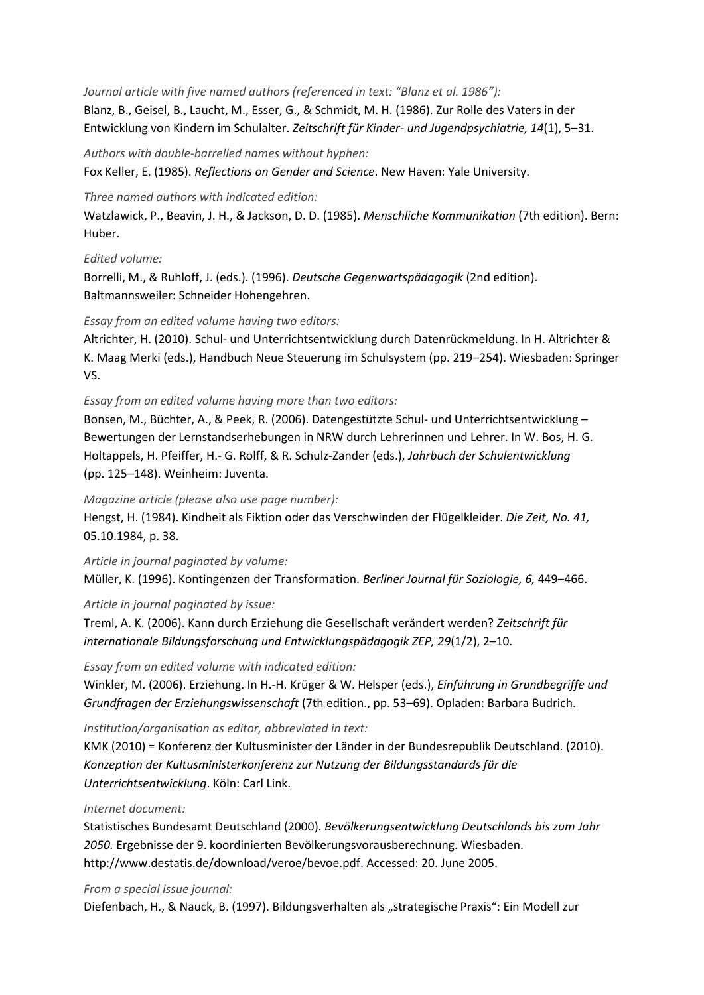*Journal article with five named authors (referenced in text: "Blanz et al. 1986"):* Blanz, B., Geisel, B., Laucht, M., Esser, G., & Schmidt, M. H. (1986). Zur Rolle des Vaters in der Entwicklung von Kindern im Schulalter. *Zeitschrift für Kinder- und Jugendpsychiatrie, 14*(1), 5–31.

*Authors with double-barrelled names without hyphen:*

Fox Keller, E. (1985). *Reflections on Gender and Science*. New Haven: Yale University.

#### *Three named authors with indicated edition:*

Watzlawick, P., Beavin, J. H., & Jackson, D. D. (1985). *Menschliche Kommunikation* (7th edition). Bern: Huber.

### *Edited volume:*

Borrelli, M., & Ruhloff, J. (eds.). (1996). *Deutsche Gegenwartspädagogik* (2nd edition). Baltmannsweiler: Schneider Hohengehren.

### *Essay from an edited volume having two editors:*

Altrichter, H. (2010). Schul- und Unterrichtsentwicklung durch Datenrückmeldung. In H. Altrichter & K. Maag Merki (eds.), Handbuch Neue Steuerung im Schulsystem (pp. 219–254). Wiesbaden: Springer VS.

#### *Essay from an edited volume having more than two editors:*

Bonsen, M., Büchter, A., & Peek, R. (2006). Datengestützte Schul- und Unterrichtsentwicklung – Bewertungen der Lernstandserhebungen in NRW durch Lehrerinnen und Lehrer. In W. Bos, H. G. Holtappels, H. Pfeiffer, H.- G. Rolff, & R. Schulz-Zander (eds.), *Jahrbuch der Schulentwicklung* (pp. 125–148). Weinheim: Juventa.

#### *Magazine article (please also use page number):*

Hengst, H. (1984). Kindheit als Fiktion oder das Verschwinden der Flügelkleider. *Die Zeit, No. 41,* 05.10.1984, p. 38.

#### *Article in journal paginated by volume:*

Müller, K. (1996). Kontingenzen der Transformation. *Berliner Journal für Soziologie, 6,* 449‒466.

### *Article in journal paginated by issue:*

Treml, A. K. (2006). Kann durch Erziehung die Gesellschaft verändert werden? *Zeitschrift für internationale Bildungsforschung und Entwicklungspädagogik ZEP, 29*(1/2), 2–10.

### *Essay from an edited volume with indicated edition:*

Winkler, M. (2006). Erziehung. In H.-H. Krüger & W. Helsper (eds.), *Einführung in Grundbegriffe und Grundfragen der Erziehungswissenschaft* (7th edition., pp. 53–69). Opladen: Barbara Budrich.

#### *Institution/organisation as editor, abbreviated in text:*

KMK (2010) = Konferenz der Kultusminister der Länder in der Bundesrepublik Deutschland. (2010). *Konzeption der Kultusministerkonferenz zur Nutzung der Bildungsstandards für die Unterrichtsentwicklung*. Köln: Carl Link.

#### *Internet document:*

Statistisches Bundesamt Deutschland (2000). *Bevölkerungsentwicklung Deutschlands bis zum Jahr 2050.* Ergebnisse der 9. koordinierten Bevölkerungsvorausberechnung. Wiesbaden. http://www.destatis.de/download/veroe/bevoe.pdf. Accessed: 20. June 2005.

#### *From a special issue journal:*

Diefenbach, H., & Nauck, B. (1997). Bildungsverhalten als "strategische Praxis": Ein Modell zur